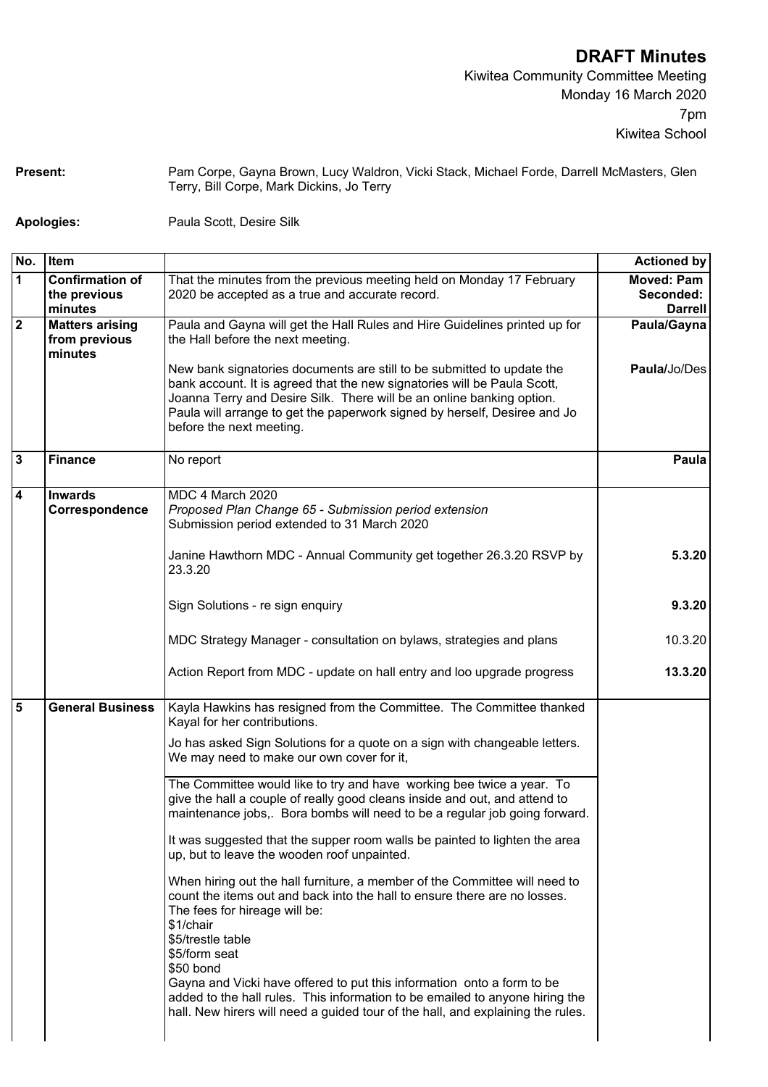**DRAFT Minutes**

Kiwitea Community Committee Meeting Monday 16 March 2020 7pm Kiwitea School

Present: Pam Corpe, Gayna Brown, Lucy Waldron, Vicki Stack, Michael Forde, Darrell McMasters, Glen Terry, Bill Corpe, Mark Dickins, Jo Terry

**Apologies:** Paula Scott, Desire Silk

| No.                     | Item                                               |                                                                                                                                                                                                                                                                                                                                      | <b>Actioned by</b>                               |
|-------------------------|----------------------------------------------------|--------------------------------------------------------------------------------------------------------------------------------------------------------------------------------------------------------------------------------------------------------------------------------------------------------------------------------------|--------------------------------------------------|
| $\mathbf{1}$            | <b>Confirmation of</b><br>the previous<br>minutes  | That the minutes from the previous meeting held on Monday 17 February<br>2020 be accepted as a true and accurate record.                                                                                                                                                                                                             | <b>Moved: Pam</b><br>Seconded:<br><b>Darrell</b> |
| $\overline{\mathbf{2}}$ | <b>Matters arising</b><br>from previous<br>minutes | Paula and Gayna will get the Hall Rules and Hire Guidelines printed up for<br>the Hall before the next meeting.                                                                                                                                                                                                                      | Paula/Gayna                                      |
|                         |                                                    | New bank signatories documents are still to be submitted to update the<br>bank account. It is agreed that the new signatories will be Paula Scott,<br>Joanna Terry and Desire Silk. There will be an online banking option.<br>Paula will arrange to get the paperwork signed by herself, Desiree and Jo<br>before the next meeting. | Paula/Jo/Des                                     |
| $\mathbf{3}$            | <b>Finance</b>                                     | No report                                                                                                                                                                                                                                                                                                                            | Paula                                            |
| $\overline{\mathbf{4}}$ | <b>Inwards</b><br>Correspondence                   | MDC 4 March 2020<br>Proposed Plan Change 65 - Submission period extension<br>Submission period extended to 31 March 2020                                                                                                                                                                                                             |                                                  |
|                         |                                                    | Janine Hawthorn MDC - Annual Community get together 26.3.20 RSVP by<br>23.3.20                                                                                                                                                                                                                                                       | 5.3.20                                           |
|                         |                                                    | Sign Solutions - re sign enquiry                                                                                                                                                                                                                                                                                                     | 9.3.20                                           |
|                         |                                                    | MDC Strategy Manager - consultation on bylaws, strategies and plans                                                                                                                                                                                                                                                                  | 10.3.20                                          |
|                         |                                                    | Action Report from MDC - update on hall entry and loo upgrade progress                                                                                                                                                                                                                                                               | 13.3.20                                          |
| 5                       | <b>General Business</b>                            | Kayla Hawkins has resigned from the Committee. The Committee thanked<br>Kayal for her contributions.                                                                                                                                                                                                                                 |                                                  |
|                         |                                                    | Jo has asked Sign Solutions for a quote on a sign with changeable letters.<br>We may need to make our own cover for it,                                                                                                                                                                                                              |                                                  |
|                         |                                                    | The Committee would like to try and have working bee twice a year. To<br>give the hall a couple of really good cleans inside and out, and attend to<br>maintenance jobs,. Bora bombs will need to be a regular job going forward.                                                                                                    |                                                  |
|                         |                                                    | It was suggested that the supper room walls be painted to lighten the area<br>up, but to leave the wooden roof unpainted.                                                                                                                                                                                                            |                                                  |
|                         |                                                    | When hiring out the hall furniture, a member of the Committee will need to<br>count the items out and back into the hall to ensure there are no losses.<br>The fees for hireage will be:<br>\$1/chair<br>\$5/trestle table<br>\$5/form seat<br>\$50 bond                                                                             |                                                  |
|                         |                                                    | Gayna and Vicki have offered to put this information onto a form to be<br>added to the hall rules. This information to be emailed to anyone hiring the<br>hall. New hirers will need a guided tour of the hall, and explaining the rules.                                                                                            |                                                  |